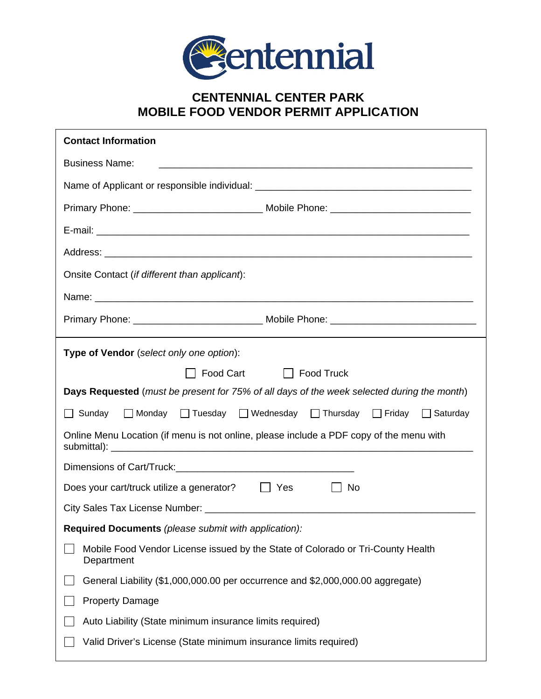

## **CENTENNIAL CENTER PARK MOBILE FOOD VENDOR PERMIT APPLICATION**

| <b>Contact Information</b>                                                                    |
|-----------------------------------------------------------------------------------------------|
| <b>Business Name:</b>                                                                         |
|                                                                                               |
|                                                                                               |
|                                                                                               |
|                                                                                               |
| Onsite Contact (if different than applicant):                                                 |
|                                                                                               |
|                                                                                               |
| Type of Vendor (select only one option):                                                      |
| Food Cart Food Truck                                                                          |
| Days Requested (must be present for 75% of all days of the week selected during the month)    |
| □ Sunday □ Monday □ Tuesday □ Wednesday □ Thursday □ Friday □ Saturday                        |
| Online Menu Location (if menu is not online, please include a PDF copy of the menu with       |
|                                                                                               |
| Does your cart/truck utilize a generator?<br>  Yes<br>No                                      |
|                                                                                               |
| Required Documents (please submit with application):                                          |
| Mobile Food Vendor License issued by the State of Colorado or Tri-County Health<br>Department |
| General Liability (\$1,000,000.00 per occurrence and \$2,000,000.00 aggregate)                |
| <b>Property Damage</b>                                                                        |
| Auto Liability (State minimum insurance limits required)                                      |
| Valid Driver's License (State minimum insurance limits required)                              |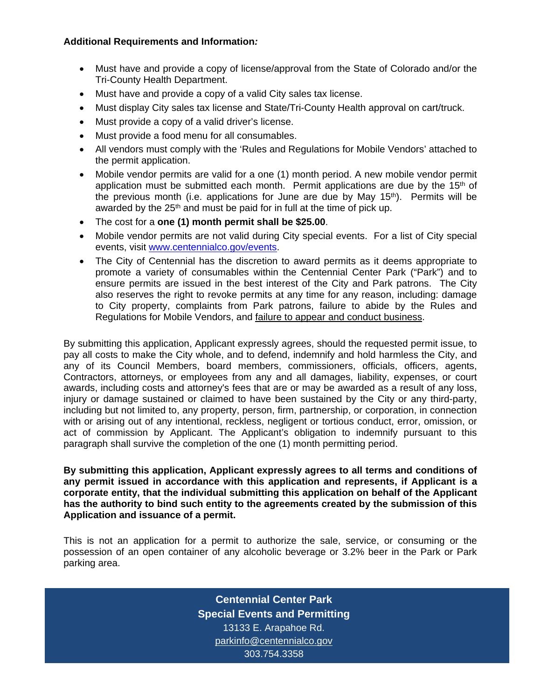## **Additional Requirements and Information***:*

- Must have and provide a copy of license/approval from the State of Colorado and/or the Tri-County Health Department.
- Must have and provide a copy of a valid City sales tax license.
- Must display City sales tax license and State/Tri-County Health approval on cart/truck.
- Must provide a copy of a valid driver's license.
- Must provide a food menu for all consumables.
- All vendors must comply with the 'Rules and Regulations for Mobile Vendors' attached to the permit application.
- Mobile vendor permits are valid for a one (1) month period. A new mobile vendor permit application must be submitted each month. Permit applications are due by the  $15<sup>th</sup>$  of the previous month (i.e. applications for June are due by May  $15<sup>th</sup>$ ). Permits will be awarded by the  $25<sup>th</sup>$  and must be paid for in full at the time of pick up.
- The cost for a **one (1) month permit shall be \$25.00**.
- Mobile vendor permits are not valid during City special events. For a list of City special events, visit www.centennialco.gov/events.
- The City of Centennial has the discretion to award permits as it deems appropriate to promote a variety of consumables within the Centennial Center Park ("Park") and to ensure permits are issued in the best interest of the City and Park patrons. The City also reserves the right to revoke permits at any time for any reason, including: damage to City property, complaints from Park patrons, failure to abide by the Rules and Regulations for Mobile Vendors, and **failure to appear and conduct business**.

By submitting this application, Applicant expressly agrees, should the requested permit issue, to pay all costs to make the City whole, and to defend, indemnify and hold harmless the City, and any of its Council Members, board members, commissioners, officials, officers, agents, Contractors, attorneys, or employees from any and all damages, liability, expenses, or court awards, including costs and attorney's fees that are or may be awarded as a result of any loss, injury or damage sustained or claimed to have been sustained by the City or any third-party, including but not limited to, any property, person, firm, partnership, or corporation, in connection with or arising out of any intentional, reckless, negligent or tortious conduct, error, omission, or act of commission by Applicant. The Applicant's obligation to indemnify pursuant to this paragraph shall survive the completion of the one (1) month permitting period.

**By submitting this application, Applicant expressly agrees to all terms and conditions of any permit issued in accordance with this application and represents, if Applicant is a corporate entity, that the individual submitting this application on behalf of the Applicant has the authority to bind such entity to the agreements created by the submission of this Application and issuance of a permit.**

This is not an application for a permit to authorize the sale, service, or consuming or the possession of an open container of any alcoholic beverage or 3.2% beer in the Park or Park parking area.

> **Centennial Center Park Special Events and Permitting**  13133 E. Arapahoe Rd. parkinfo@centennialco.gov 303.754.3358